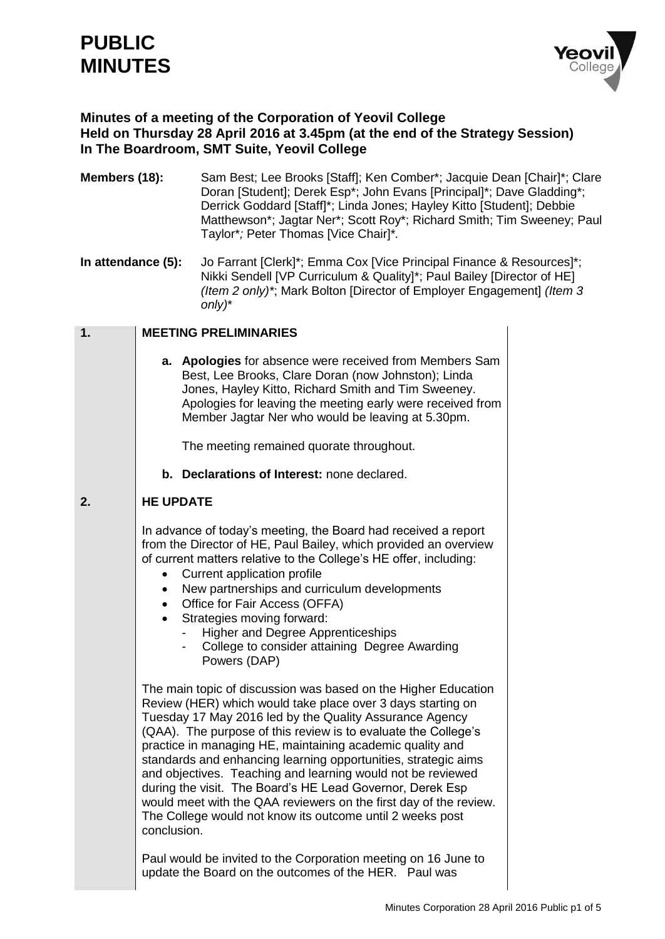# **PUBLIC MINUTES**



## **Minutes of a meeting of the Corporation of Yeovil College Held on Thursday 28 April 2016 at 3.45pm (at the end of the Strategy Session) In The Boardroom, SMT Suite, Yeovil College**

- **Members (18):** Sam Best: Lee Brooks [Staff]: Ken Comber\*: Jacquie Dean [Chair]\*: Clare Doran [Student]; Derek Esp\*; John Evans [Principal]\*; Dave Gladding\*; Derrick Goddard [Staff]\*; Linda Jones; Hayley Kitto [Student]; Debbie Matthewson\*; Jagtar Ner\*; Scott Roy\*; Richard Smith; Tim Sweeney; Paul Taylor\**;* Peter Thomas [Vice Chair]\**.*
- **In attendance (5):** Jo Farrant [Clerk]<sup>\*</sup>; Emma Cox [Vice Principal Finance & Resources]<sup>\*</sup>; Nikki Sendell [VP Curriculum & Quality]\*; Paul Bailey [Director of HE] *(Item 2 only)\**; Mark Bolton [Director of Employer Engagement] *(Item 3 only)*\*

#### **1. MEETING PRELIMINARIES**

**a. Apologies** for absence were received from Members Sam Best, Lee Brooks, Clare Doran (now Johnston); Linda Jones, Hayley Kitto, Richard Smith and Tim Sweeney. Apologies for leaving the meeting early were received from Member Jagtar Ner who would be leaving at 5.30pm.

The meeting remained quorate throughout.

**b. Declarations of Interest:** none declared.

#### **2. HE UPDATE**

In advance of today's meeting, the Board had received a report from the Director of HE, Paul Bailey, which provided an overview of current matters relative to the College's HE offer, including:

- Current application profile
- New partnerships and curriculum developments
- Office for Fair Access (OFFA)
- Strategies moving forward:
	- Higher and Degree Apprenticeships
	- College to consider attaining Degree Awarding Powers (DAP)

The main topic of discussion was based on the Higher Education Review (HER) which would take place over 3 days starting on Tuesday 17 May 2016 led by the Quality Assurance Agency (QAA). The purpose of this review is to evaluate the College's practice in managing HE, maintaining academic quality and standards and enhancing learning opportunities, strategic aims and objectives. Teaching and learning would not be reviewed during the visit. The Board's HE Lead Governor, Derek Esp would meet with the QAA reviewers on the first day of the review. The College would not know its outcome until 2 weeks post conclusion.

Paul would be invited to the Corporation meeting on 16 June to update the Board on the outcomes of the HER. Paul was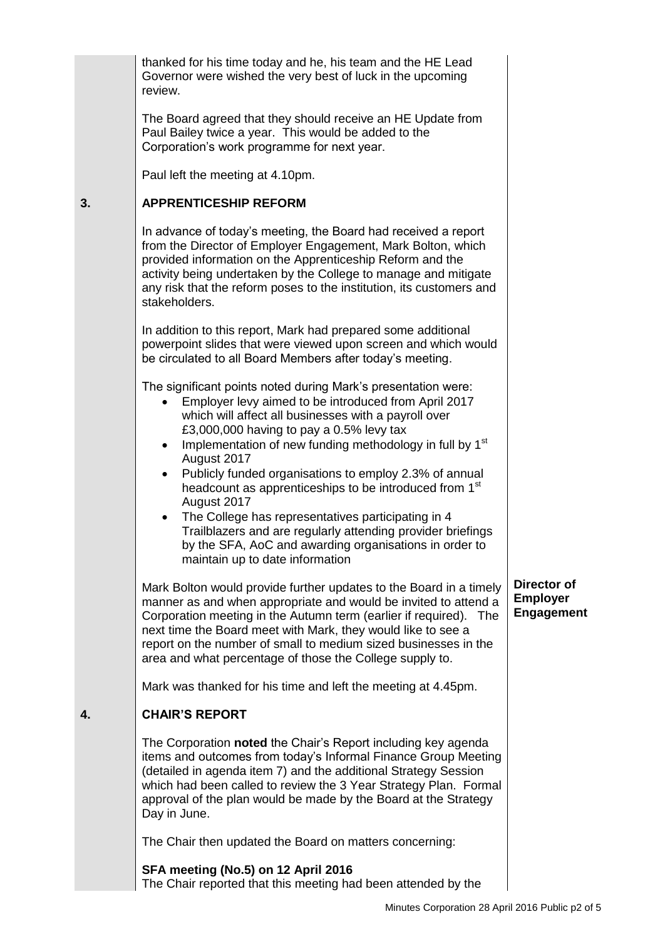|    | thanked for his time today and he, his team and the HE Lead<br>Governor were wished the very best of luck in the upcoming<br>review.                                                                                                                                                                                                                                                                                                                                                                                                                                                                                                                                                                        |                                                     |
|----|-------------------------------------------------------------------------------------------------------------------------------------------------------------------------------------------------------------------------------------------------------------------------------------------------------------------------------------------------------------------------------------------------------------------------------------------------------------------------------------------------------------------------------------------------------------------------------------------------------------------------------------------------------------------------------------------------------------|-----------------------------------------------------|
|    | The Board agreed that they should receive an HE Update from<br>Paul Bailey twice a year. This would be added to the<br>Corporation's work programme for next year.                                                                                                                                                                                                                                                                                                                                                                                                                                                                                                                                          |                                                     |
|    | Paul left the meeting at 4.10pm.                                                                                                                                                                                                                                                                                                                                                                                                                                                                                                                                                                                                                                                                            |                                                     |
| 3. | <b>APPRENTICESHIP REFORM</b>                                                                                                                                                                                                                                                                                                                                                                                                                                                                                                                                                                                                                                                                                |                                                     |
|    | In advance of today's meeting, the Board had received a report<br>from the Director of Employer Engagement, Mark Bolton, which<br>provided information on the Apprenticeship Reform and the<br>activity being undertaken by the College to manage and mitigate<br>any risk that the reform poses to the institution, its customers and<br>stakeholders.                                                                                                                                                                                                                                                                                                                                                     |                                                     |
|    | In addition to this report, Mark had prepared some additional<br>powerpoint slides that were viewed upon screen and which would<br>be circulated to all Board Members after today's meeting.                                                                                                                                                                                                                                                                                                                                                                                                                                                                                                                |                                                     |
|    | The significant points noted during Mark's presentation were:<br>Employer levy aimed to be introduced from April 2017<br>which will affect all businesses with a payroll over<br>£3,000,000 having to pay a 0.5% levy tax<br>Implementation of new funding methodology in full by 1 <sup>st</sup><br>$\bullet$<br>August 2017<br>Publicly funded organisations to employ 2.3% of annual<br>$\bullet$<br>headcount as apprenticeships to be introduced from 1 <sup>st</sup><br>August 2017<br>The College has representatives participating in 4<br>Trailblazers and are regularly attending provider briefings<br>by the SFA, AoC and awarding organisations in order to<br>maintain up to date information |                                                     |
|    | Mark Bolton would provide further updates to the Board in a timely<br>manner as and when appropriate and would be invited to attend a<br>Corporation meeting in the Autumn term (earlier if required). The<br>next time the Board meet with Mark, they would like to see a<br>report on the number of small to medium sized businesses in the<br>area and what percentage of those the College supply to.                                                                                                                                                                                                                                                                                                   | Director of<br><b>Employer</b><br><b>Engagement</b> |
|    | Mark was thanked for his time and left the meeting at 4.45pm.                                                                                                                                                                                                                                                                                                                                                                                                                                                                                                                                                                                                                                               |                                                     |
| 4. | <b>CHAIR'S REPORT</b>                                                                                                                                                                                                                                                                                                                                                                                                                                                                                                                                                                                                                                                                                       |                                                     |
|    | The Corporation noted the Chair's Report including key agenda<br>items and outcomes from today's Informal Finance Group Meeting<br>(detailed in agenda item 7) and the additional Strategy Session<br>which had been called to review the 3 Year Strategy Plan. Formal<br>approval of the plan would be made by the Board at the Strategy<br>Day in June.                                                                                                                                                                                                                                                                                                                                                   |                                                     |
|    | The Chair then updated the Board on matters concerning:                                                                                                                                                                                                                                                                                                                                                                                                                                                                                                                                                                                                                                                     |                                                     |
|    | SFA meeting (No.5) on 12 April 2016                                                                                                                                                                                                                                                                                                                                                                                                                                                                                                                                                                                                                                                                         |                                                     |

The Chair reported that this meeting had been attended by the

**3.**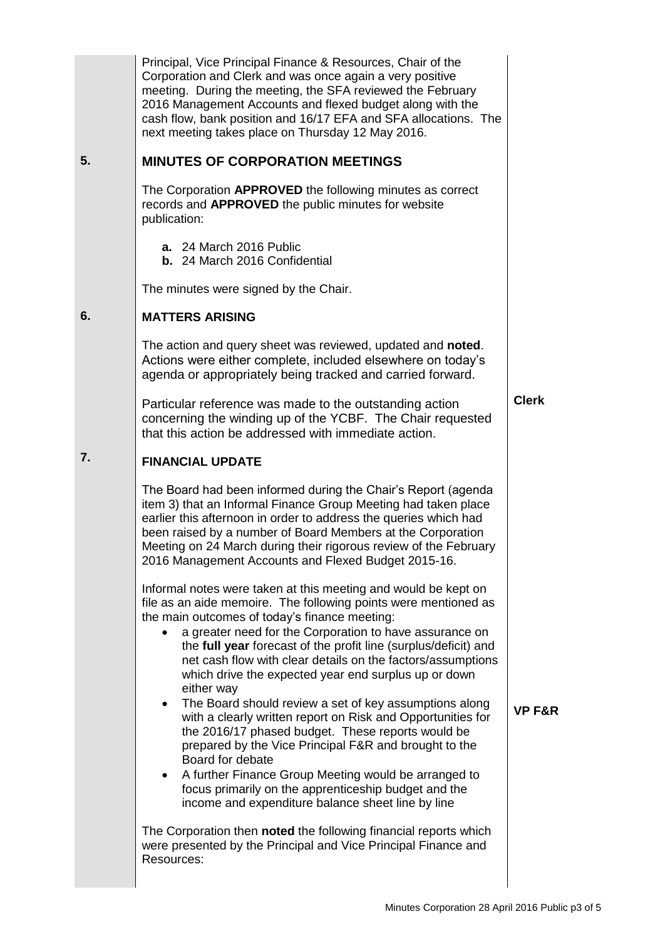|    | Principal, Vice Principal Finance & Resources, Chair of the<br>Corporation and Clerk and was once again a very positive<br>meeting. During the meeting, the SFA reviewed the February<br>2016 Management Accounts and flexed budget along with the<br>cash flow, bank position and 16/17 EFA and SFA allocations. The<br>next meeting takes place on Thursday 12 May 2016.                                                                                                                                                                                                                                                                                                                                                                                                                                                                                                                                                                                                                                                                                          |                   |
|----|---------------------------------------------------------------------------------------------------------------------------------------------------------------------------------------------------------------------------------------------------------------------------------------------------------------------------------------------------------------------------------------------------------------------------------------------------------------------------------------------------------------------------------------------------------------------------------------------------------------------------------------------------------------------------------------------------------------------------------------------------------------------------------------------------------------------------------------------------------------------------------------------------------------------------------------------------------------------------------------------------------------------------------------------------------------------|-------------------|
| 5. | <b>MINUTES OF CORPORATION MEETINGS</b>                                                                                                                                                                                                                                                                                                                                                                                                                                                                                                                                                                                                                                                                                                                                                                                                                                                                                                                                                                                                                              |                   |
|    | The Corporation APPROVED the following minutes as correct<br>records and <b>APPROVED</b> the public minutes for website<br>publication:                                                                                                                                                                                                                                                                                                                                                                                                                                                                                                                                                                                                                                                                                                                                                                                                                                                                                                                             |                   |
|    | a. 24 March 2016 Public<br>b. 24 March 2016 Confidential                                                                                                                                                                                                                                                                                                                                                                                                                                                                                                                                                                                                                                                                                                                                                                                                                                                                                                                                                                                                            |                   |
|    | The minutes were signed by the Chair.                                                                                                                                                                                                                                                                                                                                                                                                                                                                                                                                                                                                                                                                                                                                                                                                                                                                                                                                                                                                                               |                   |
| 6. | <b>MATTERS ARISING</b>                                                                                                                                                                                                                                                                                                                                                                                                                                                                                                                                                                                                                                                                                                                                                                                                                                                                                                                                                                                                                                              |                   |
|    | The action and query sheet was reviewed, updated and <b>noted</b> .<br>Actions were either complete, included elsewhere on today's<br>agenda or appropriately being tracked and carried forward.                                                                                                                                                                                                                                                                                                                                                                                                                                                                                                                                                                                                                                                                                                                                                                                                                                                                    |                   |
|    | Particular reference was made to the outstanding action<br>concerning the winding up of the YCBF. The Chair requested<br>that this action be addressed with immediate action.                                                                                                                                                                                                                                                                                                                                                                                                                                                                                                                                                                                                                                                                                                                                                                                                                                                                                       | <b>Clerk</b>      |
| 7. | <b>FINANCIAL UPDATE</b>                                                                                                                                                                                                                                                                                                                                                                                                                                                                                                                                                                                                                                                                                                                                                                                                                                                                                                                                                                                                                                             |                   |
|    | The Board had been informed during the Chair's Report (agenda<br>item 3) that an Informal Finance Group Meeting had taken place<br>earlier this afternoon in order to address the queries which had<br>been raised by a number of Board Members at the Corporation<br>Meeting on 24 March during their rigorous review of the February<br>2016 Management Accounts and Flexed Budget 2015-16.                                                                                                                                                                                                                                                                                                                                                                                                                                                                                                                                                                                                                                                                       |                   |
|    | Informal notes were taken at this meeting and would be kept on<br>file as an aide memoire. The following points were mentioned as<br>the main outcomes of today's finance meeting:<br>a greater need for the Corporation to have assurance on<br>the full year forecast of the profit line (surplus/deficit) and<br>net cash flow with clear details on the factors/assumptions<br>which drive the expected year end surplus up or down<br>either way<br>The Board should review a set of key assumptions along<br>$\bullet$<br>with a clearly written report on Risk and Opportunities for<br>the 2016/17 phased budget. These reports would be<br>prepared by the Vice Principal F&R and brought to the<br>Board for debate<br>A further Finance Group Meeting would be arranged to<br>$\bullet$<br>focus primarily on the apprenticeship budget and the<br>income and expenditure balance sheet line by line<br>The Corporation then noted the following financial reports which<br>were presented by the Principal and Vice Principal Finance and<br>Resources: | <b>VP F&amp;R</b> |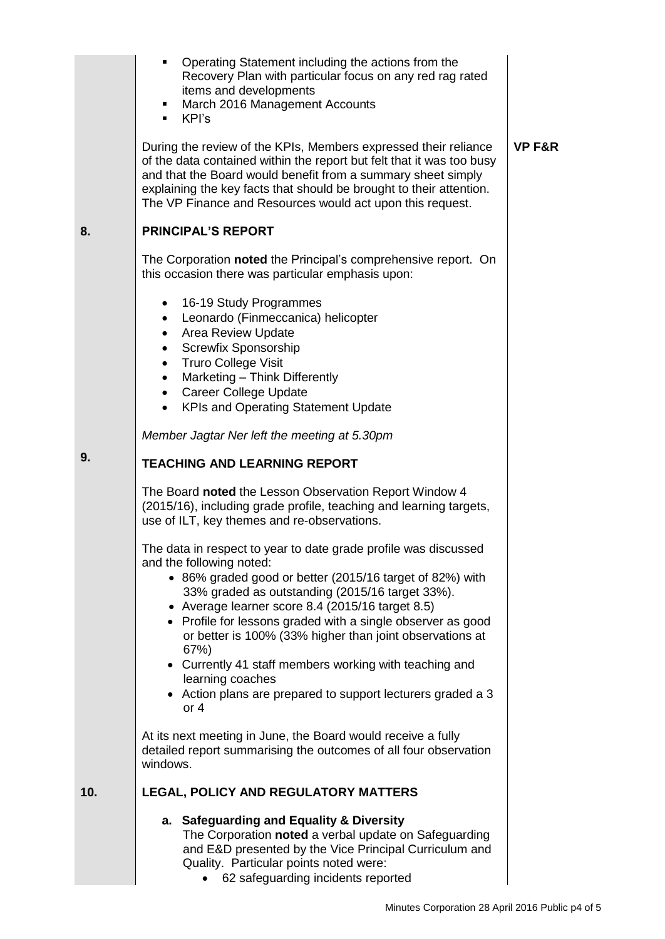|     | Operating Statement including the actions from the<br>٠<br>Recovery Plan with particular focus on any red rag rated<br>items and developments<br>March 2016 Management Accounts<br>KPI's<br>٠                                                                                                                                                                                                                                                                                                                                                            |                   |
|-----|----------------------------------------------------------------------------------------------------------------------------------------------------------------------------------------------------------------------------------------------------------------------------------------------------------------------------------------------------------------------------------------------------------------------------------------------------------------------------------------------------------------------------------------------------------|-------------------|
|     | During the review of the KPIs, Members expressed their reliance<br>of the data contained within the report but felt that it was too busy<br>and that the Board would benefit from a summary sheet simply<br>explaining the key facts that should be brought to their attention.<br>The VP Finance and Resources would act upon this request.                                                                                                                                                                                                             | <b>VP F&amp;R</b> |
| 8.  | <b>PRINCIPAL'S REPORT</b>                                                                                                                                                                                                                                                                                                                                                                                                                                                                                                                                |                   |
|     | The Corporation noted the Principal's comprehensive report. On<br>this occasion there was particular emphasis upon:                                                                                                                                                                                                                                                                                                                                                                                                                                      |                   |
|     | • 16-19 Study Programmes<br>Leonardo (Finmeccanica) helicopter<br>$\bullet$<br>Area Review Update<br>$\bullet$<br><b>Screwfix Sponsorship</b><br>$\bullet$<br><b>Truro College Visit</b><br>$\bullet$<br>Marketing - Think Differently<br>$\bullet$<br>• Career College Update<br><b>KPIs and Operating Statement Update</b>                                                                                                                                                                                                                             |                   |
|     | Member Jagtar Ner left the meeting at 5.30pm                                                                                                                                                                                                                                                                                                                                                                                                                                                                                                             |                   |
| 9.  | <b>TEACHING AND LEARNING REPORT</b>                                                                                                                                                                                                                                                                                                                                                                                                                                                                                                                      |                   |
|     | The Board noted the Lesson Observation Report Window 4<br>(2015/16), including grade profile, teaching and learning targets,<br>use of ILT, key themes and re-observations.                                                                                                                                                                                                                                                                                                                                                                              |                   |
|     | The data in respect to year to date grade profile was discussed<br>and the following noted:<br>• 86% graded good or better (2015/16 target of 82%) with<br>33% graded as outstanding (2015/16 target 33%).<br>• Average learner score 8.4 (2015/16 target 8.5)<br>• Profile for lessons graded with a single observer as good<br>or better is 100% (33% higher than joint observations at<br>67%)<br>• Currently 41 staff members working with teaching and<br>learning coaches<br>• Action plans are prepared to support lecturers graded a 3<br>or $4$ |                   |
|     | At its next meeting in June, the Board would receive a fully<br>detailed report summarising the outcomes of all four observation<br>windows.                                                                                                                                                                                                                                                                                                                                                                                                             |                   |
| 10. | LEGAL, POLICY AND REGULATORY MATTERS                                                                                                                                                                                                                                                                                                                                                                                                                                                                                                                     |                   |
|     | a. Safeguarding and Equality & Diversity<br>The Corporation noted a verbal update on Safeguarding<br>and E&D presented by the Vice Principal Curriculum and<br>Quality. Particular points noted were:<br>62 safeguarding incidents reported                                                                                                                                                                                                                                                                                                              |                   |